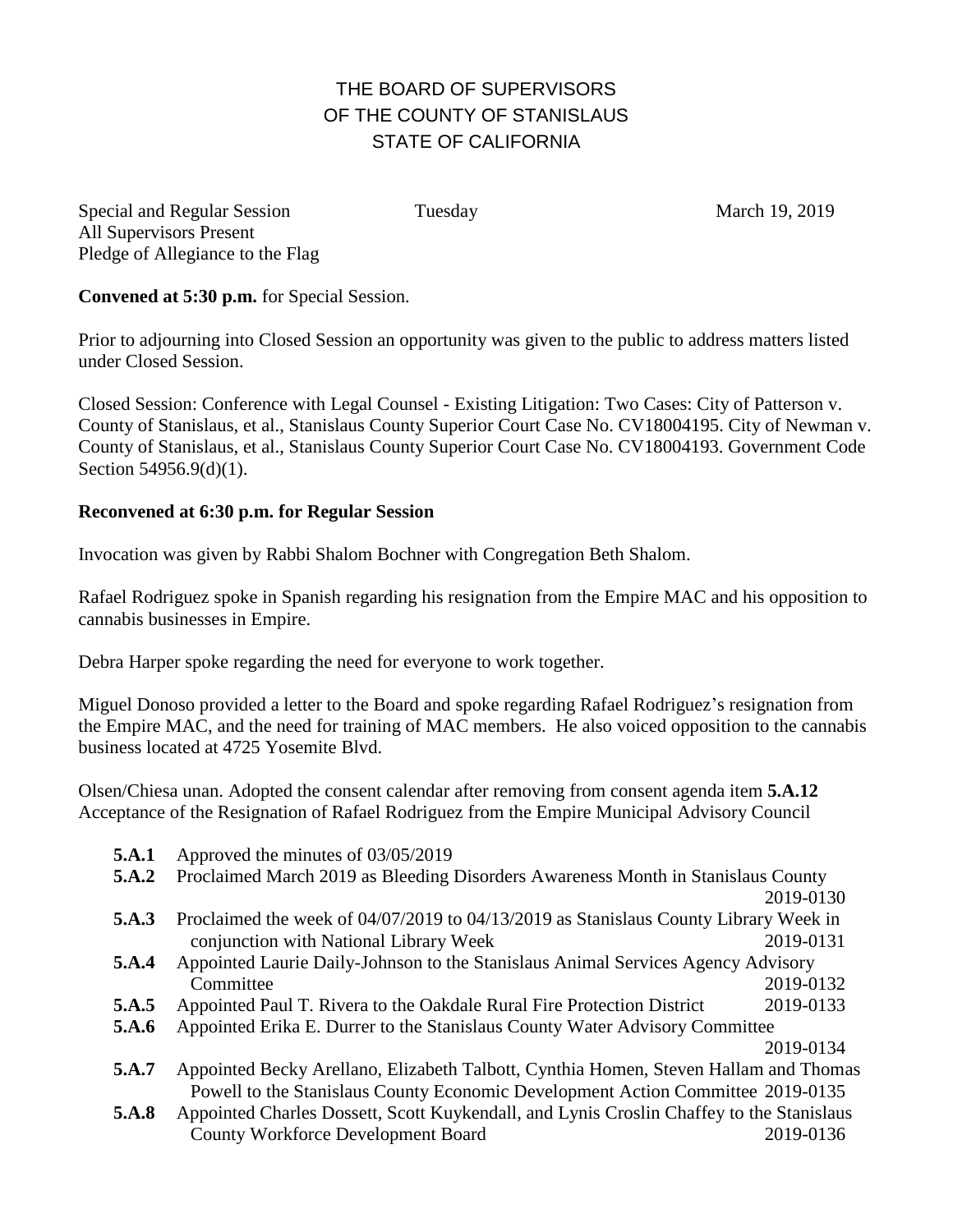# THE BOARD OF SUPERVISORS OF THE COUNTY OF STANISLAUS STATE OF CALIFORNIA

Special and Regular Session Tuesday March 19, 2019 All Supervisors Present Pledge of Allegiance to the Flag

**Convened at 5:30 p.m.** for Special Session.

Prior to adjourning into Closed Session an opportunity was given to the public to address matters listed under Closed Session.

Closed Session: Conference with Legal Counsel - Existing Litigation: Two Cases: City of Patterson v. County of Stanislaus, et al., Stanislaus County Superior Court Case No. CV18004195. City of Newman v. County of Stanislaus, et al., Stanislaus County Superior Court Case No. CV18004193. Government Code Section 54956.9(d)(1).

### **Reconvened at 6:30 p.m. for Regular Session**

Invocation was given by Rabbi Shalom Bochner with Congregation Beth Shalom.

Rafael Rodriguez spoke in Spanish regarding his resignation from the Empire MAC and his opposition to cannabis businesses in Empire.

Debra Harper spoke regarding the need for everyone to work together.

Miguel Donoso provided a letter to the Board and spoke regarding Rafael Rodriguez's resignation from the Empire MAC, and the need for training of MAC members. He also voiced opposition to the cannabis business located at 4725 Yosemite Blvd.

Olsen/Chiesa unan. Adopted the consent calendar after removing from consent agenda item **5.A.12** Acceptance of the Resignation of Rafael Rodriguez from the Empire Municipal Advisory Council

- **5.A.1** Approved the minutes of 03/05/2019
- **5.A.2** Proclaimed March 2019 as Bleeding Disorders Awareness Month in Stanislaus County

2019-0130

- **5.A.3** Proclaimed the week of 04/07/2019 to 04/13/2019 as Stanislaus County Library Week in conjunction with National Library Week 2019-0131
- **5.A.4** Appointed Laurie Daily-Johnson to the Stanislaus Animal Services Agency Advisory Committee 2019-0132
- **5.A.5** Appointed Paul T. Rivera to the Oakdale Rural Fire Protection District 2019-0133
- **5.A.6** Appointed Erika E. Durrer to the Stanislaus County Water Advisory Committee

2019-0134

- **5.A.7** Appointed Becky Arellano, Elizabeth Talbott, Cynthia Homen, Steven Hallam and Thomas Powell to the Stanislaus County Economic Development Action Committee 2019-0135
- **5.A.8** Appointed Charles Dossett, Scott Kuykendall, and Lynis Croslin Chaffey to the Stanislaus County Workforce Development Board 2019-0136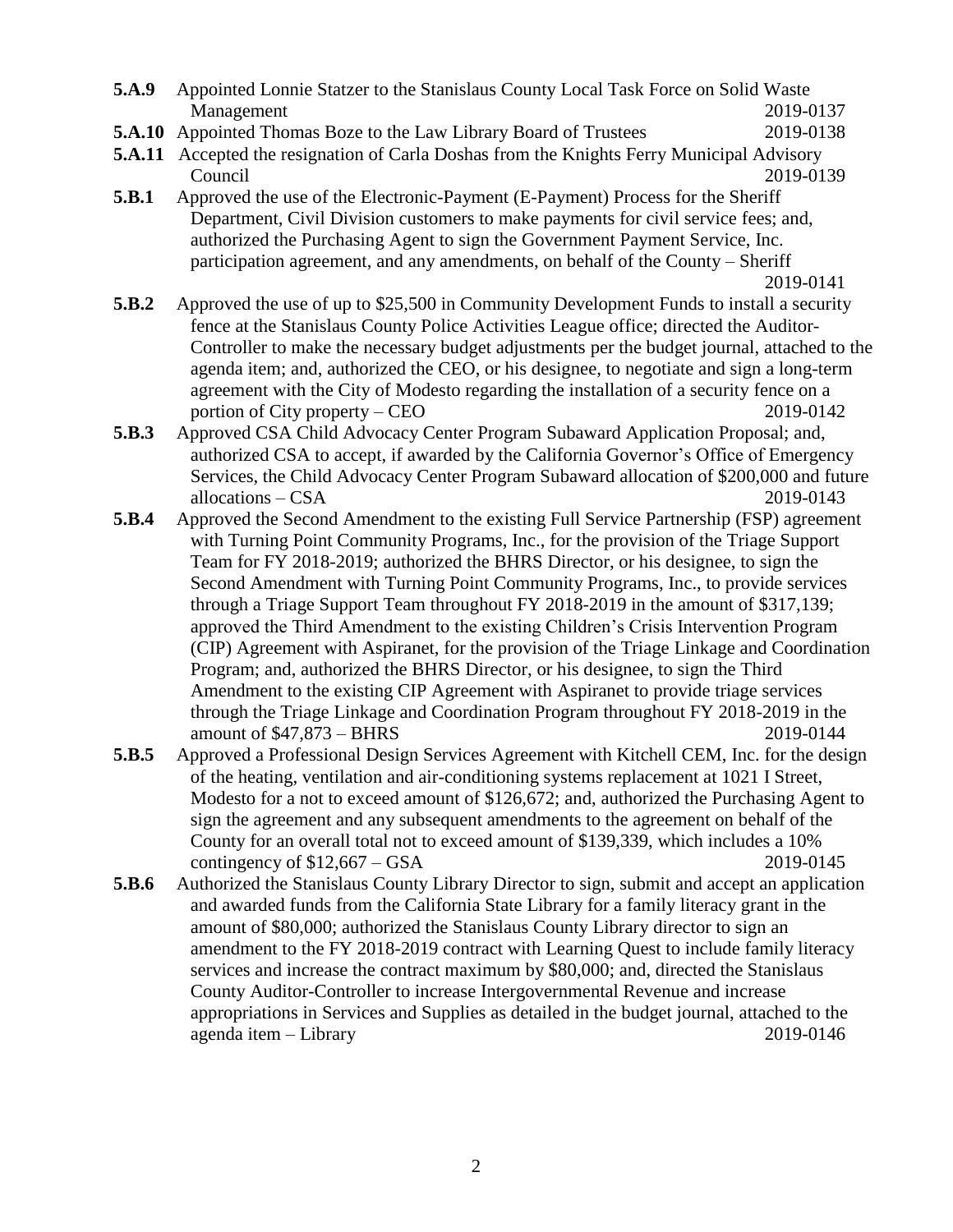- **5.A.9** Appointed Lonnie Statzer to the Stanislaus County Local Task Force on Solid Waste Management 2019-0137
- **5.A.10** Appointed Thomas Boze to the Law Library Board of Trustees 2019-0138
- **5.A.11** Accepted the resignation of Carla Doshas from the Knights Ferry Municipal Advisory Council 2019-0139
- **5.B.1** Approved the use of the Electronic-Payment (E-Payment) Process for the Sheriff Department, Civil Division customers to make payments for civil service fees; and, authorized the Purchasing Agent to sign the Government Payment Service, Inc. participation agreement, and any amendments, on behalf of the County – Sheriff

2019-0141

- **5.B.2** Approved the use of up to \$25,500 in Community Development Funds to install a security fence at the Stanislaus County Police Activities League office; directed the Auditor-Controller to make the necessary budget adjustments per the budget journal, attached to the agenda item; and, authorized the CEO, or his designee, to negotiate and sign a long-term agreement with the City of Modesto regarding the installation of a security fence on a portion of City property – CEO 2019-0142
- **5.B.3** Approved CSA Child Advocacy Center Program Subaward Application Proposal; and, authorized CSA to accept, if awarded by the California Governor's Office of Emergency Services, the Child Advocacy Center Program Subaward allocation of \$200,000 and future allocations – CSA 2019-0143
- **5.B.4** Approved the Second Amendment to the existing Full Service Partnership (FSP) agreement with Turning Point Community Programs, Inc., for the provision of the Triage Support Team for FY 2018-2019; authorized the BHRS Director, or his designee, to sign the Second Amendment with Turning Point Community Programs, Inc., to provide services through a Triage Support Team throughout FY 2018-2019 in the amount of \$317,139; approved the Third Amendment to the existing Children's Crisis Intervention Program (CIP) Agreement with Aspiranet, for the provision of the Triage Linkage and Coordination Program; and, authorized the BHRS Director, or his designee, to sign the Third Amendment to the existing CIP Agreement with Aspiranet to provide triage services through the Triage Linkage and Coordination Program throughout FY 2018-2019 in the amount of \$47,873 – BHRS 2019-0144
- **5.B.5** Approved a Professional Design Services Agreement with Kitchell CEM, Inc. for the design of the heating, ventilation and air-conditioning systems replacement at 1021 I Street, Modesto for a not to exceed amount of \$126,672; and, authorized the Purchasing Agent to sign the agreement and any subsequent amendments to the agreement on behalf of the County for an overall total not to exceed amount of \$139,339, which includes a 10% contingency of \$12,667 – GSA 2019-0145
- **5.B.6** Authorized the Stanislaus County Library Director to sign, submit and accept an application and awarded funds from the California State Library for a family literacy grant in the amount of \$80,000; authorized the Stanislaus County Library director to sign an amendment to the FY 2018-2019 contract with Learning Quest to include family literacy services and increase the contract maximum by \$80,000; and, directed the Stanislaus County Auditor-Controller to increase Intergovernmental Revenue and increase appropriations in Services and Supplies as detailed in the budget journal, attached to the agenda item – Library 2019-0146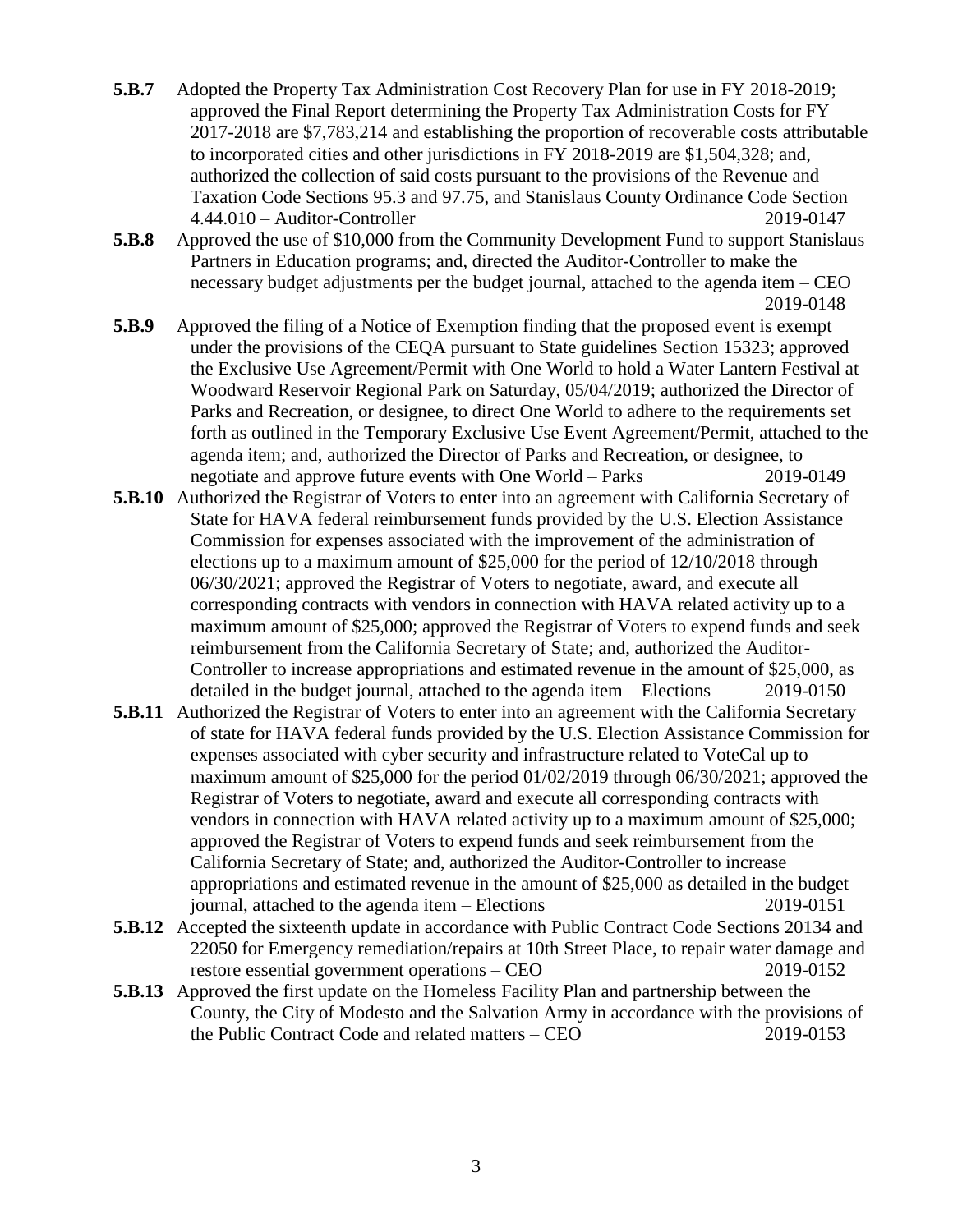- **5.B.7** Adopted the Property Tax Administration Cost Recovery Plan for use in FY 2018-2019; approved the Final Report determining the Property Tax Administration Costs for FY 2017-2018 are \$7,783,214 and establishing the proportion of recoverable costs attributable to incorporated cities and other jurisdictions in FY 2018-2019 are \$1,504,328; and, authorized the collection of said costs pursuant to the provisions of the Revenue and Taxation Code Sections 95.3 and 97.75, and Stanislaus County Ordinance Code Section 4.44.010 – Auditor-Controller 2019-0147
- **5.B.8** Approved the use of \$10,000 from the Community Development Fund to support Stanislaus Partners in Education programs; and, directed the Auditor-Controller to make the necessary budget adjustments per the budget journal, attached to the agenda item – CEO 2019-0148
- **5.B.9** Approved the filing of a Notice of Exemption finding that the proposed event is exempt under the provisions of the CEQA pursuant to State guidelines Section 15323; approved the Exclusive Use Agreement/Permit with One World to hold a Water Lantern Festival at Woodward Reservoir Regional Park on Saturday, 05/04/2019; authorized the Director of Parks and Recreation, or designee, to direct One World to adhere to the requirements set forth as outlined in the Temporary Exclusive Use Event Agreement/Permit, attached to the agenda item; and, authorized the Director of Parks and Recreation, or designee, to negotiate and approve future events with One World – Parks 2019-0149
- **5.B.10** Authorized the Registrar of Voters to enter into an agreement with California Secretary of State for HAVA federal reimbursement funds provided by the U.S. Election Assistance Commission for expenses associated with the improvement of the administration of elections up to a maximum amount of \$25,000 for the period of 12/10/2018 through 06/30/2021; approved the Registrar of Voters to negotiate, award, and execute all corresponding contracts with vendors in connection with HAVA related activity up to a maximum amount of \$25,000; approved the Registrar of Voters to expend funds and seek reimbursement from the California Secretary of State; and, authorized the Auditor-Controller to increase appropriations and estimated revenue in the amount of \$25,000, as detailed in the budget journal, attached to the agenda item – Elections 2019-0150
- **5.B.11** Authorized the Registrar of Voters to enter into an agreement with the California Secretary of state for HAVA federal funds provided by the U.S. Election Assistance Commission for expenses associated with cyber security and infrastructure related to VoteCal up to maximum amount of \$25,000 for the period 01/02/2019 through 06/30/2021; approved the Registrar of Voters to negotiate, award and execute all corresponding contracts with vendors in connection with HAVA related activity up to a maximum amount of \$25,000; approved the Registrar of Voters to expend funds and seek reimbursement from the California Secretary of State; and, authorized the Auditor-Controller to increase appropriations and estimated revenue in the amount of \$25,000 as detailed in the budget journal, attached to the agenda item – Elections 2019-0151
- **5.B.12** Accepted the sixteenth update in accordance with Public Contract Code Sections 20134 and 22050 for Emergency remediation/repairs at 10th Street Place, to repair water damage and restore essential government operations – CEO 2019-0152
- **5.B.13** Approved the first update on the Homeless Facility Plan and partnership between the County, the City of Modesto and the Salvation Army in accordance with the provisions of the Public Contract Code and related matters – CEO 2019-0153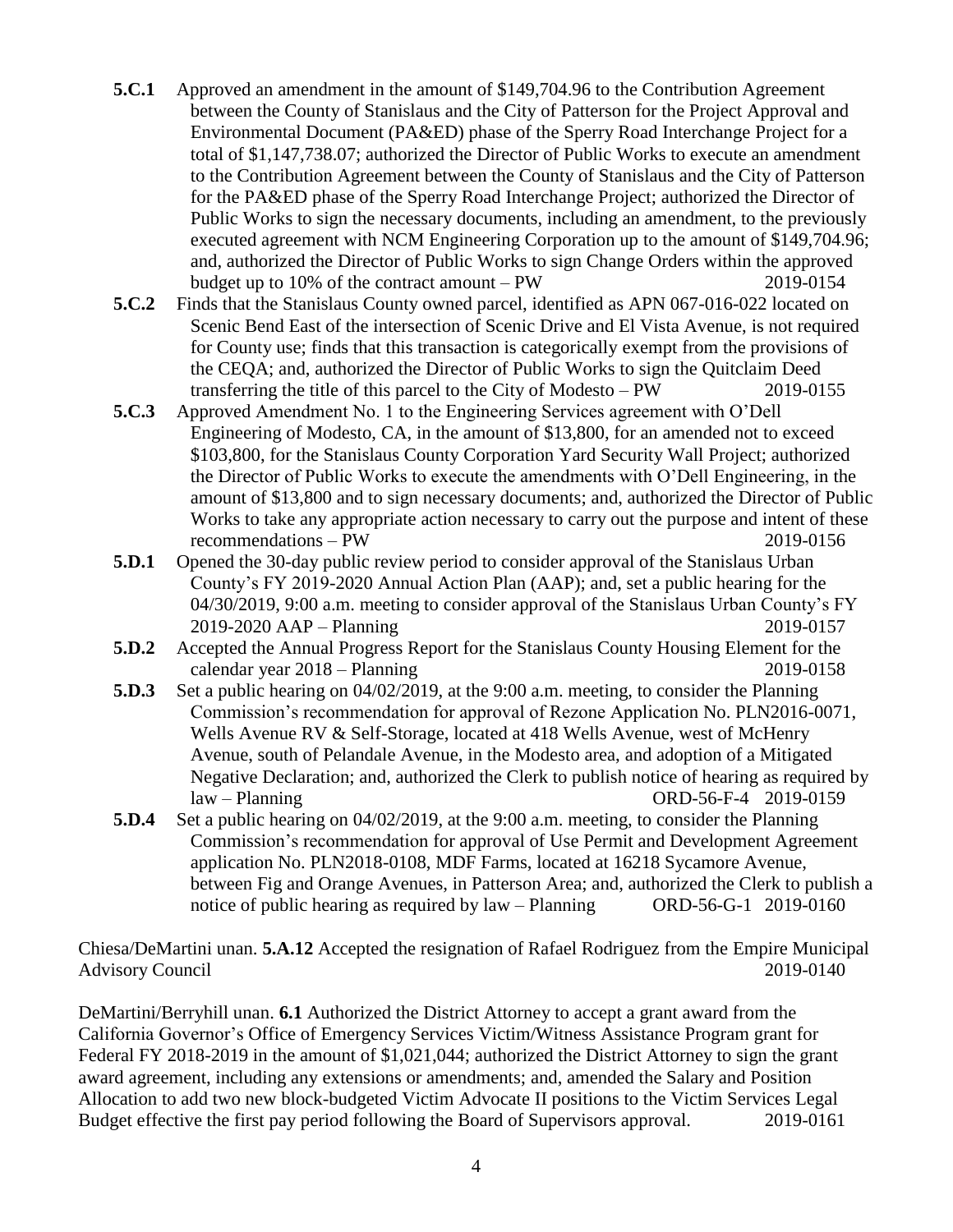- **5.C.1** Approved an amendment in the amount of \$149,704.96 to the Contribution Agreement between the County of Stanislaus and the City of Patterson for the Project Approval and Environmental Document (PA&ED) phase of the Sperry Road Interchange Project for a total of \$1,147,738.07; authorized the Director of Public Works to execute an amendment to the Contribution Agreement between the County of Stanislaus and the City of Patterson for the PA&ED phase of the Sperry Road Interchange Project; authorized the Director of Public Works to sign the necessary documents, including an amendment, to the previously executed agreement with NCM Engineering Corporation up to the amount of \$149,704.96; and, authorized the Director of Public Works to sign Change Orders within the approved budget up to 10% of the contract amount – PW 2019-0154
- **5.C.2** Finds that the Stanislaus County owned parcel, identified as APN 067-016-022 located on Scenic Bend East of the intersection of Scenic Drive and El Vista Avenue, is not required for County use; finds that this transaction is categorically exempt from the provisions of the CEQA; and, authorized the Director of Public Works to sign the Quitclaim Deed transferring the title of this parcel to the City of Modesto – PW 2019-0155
- **5.C.3** Approved Amendment No. 1 to the Engineering Services agreement with O'Dell Engineering of Modesto, CA, in the amount of \$13,800, for an amended not to exceed \$103,800, for the Stanislaus County Corporation Yard Security Wall Project; authorized the Director of Public Works to execute the amendments with O'Dell Engineering, in the amount of \$13,800 and to sign necessary documents; and, authorized the Director of Public Works to take any appropriate action necessary to carry out the purpose and intent of these recommendations – PW 2019-0156
- **5.D.1** Opened the 30-day public review period to consider approval of the Stanislaus Urban County's FY 2019-2020 Annual Action Plan (AAP); and, set a public hearing for the 04/30/2019, 9:00 a.m. meeting to consider approval of the Stanislaus Urban County's FY 2019-2020 AAP – Planning 2019-0157
- **5.D.2** Accepted the Annual Progress Report for the Stanislaus County Housing Element for the calendar year 2018 – Planning 2019-0158
- **5.D.3** Set a public hearing on 04/02/2019, at the 9:00 a.m. meeting, to consider the Planning Commission's recommendation for approval of Rezone Application No. PLN2016-0071, Wells Avenue RV & Self-Storage, located at 418 Wells Avenue, west of McHenry Avenue, south of Pelandale Avenue, in the Modesto area, and adoption of a Mitigated Negative Declaration; and, authorized the Clerk to publish notice of hearing as required by law – Planning ORD-56-F-4 2019-0159
- **5.D.4** Set a public hearing on 04/02/2019, at the 9:00 a.m. meeting, to consider the Planning Commission's recommendation for approval of Use Permit and Development Agreement application No. PLN2018-0108, MDF Farms, located at 16218 Sycamore Avenue, between Fig and Orange Avenues, in Patterson Area; and, authorized the Clerk to publish a notice of public hearing as required by law – Planning ORD-56-G-1 2019-0160

Chiesa/DeMartini unan. **5.A.12** Accepted the resignation of Rafael Rodriguez from the Empire Municipal Advisory Council 2019-0140

DeMartini/Berryhill unan. **6.1** Authorized the District Attorney to accept a grant award from the California Governor's Office of Emergency Services Victim/Witness Assistance Program grant for Federal FY 2018-2019 in the amount of \$1,021,044; authorized the District Attorney to sign the grant award agreement, including any extensions or amendments; and, amended the Salary and Position Allocation to add two new block-budgeted Victim Advocate II positions to the Victim Services Legal Budget effective the first pay period following the Board of Supervisors approval. 2019-0161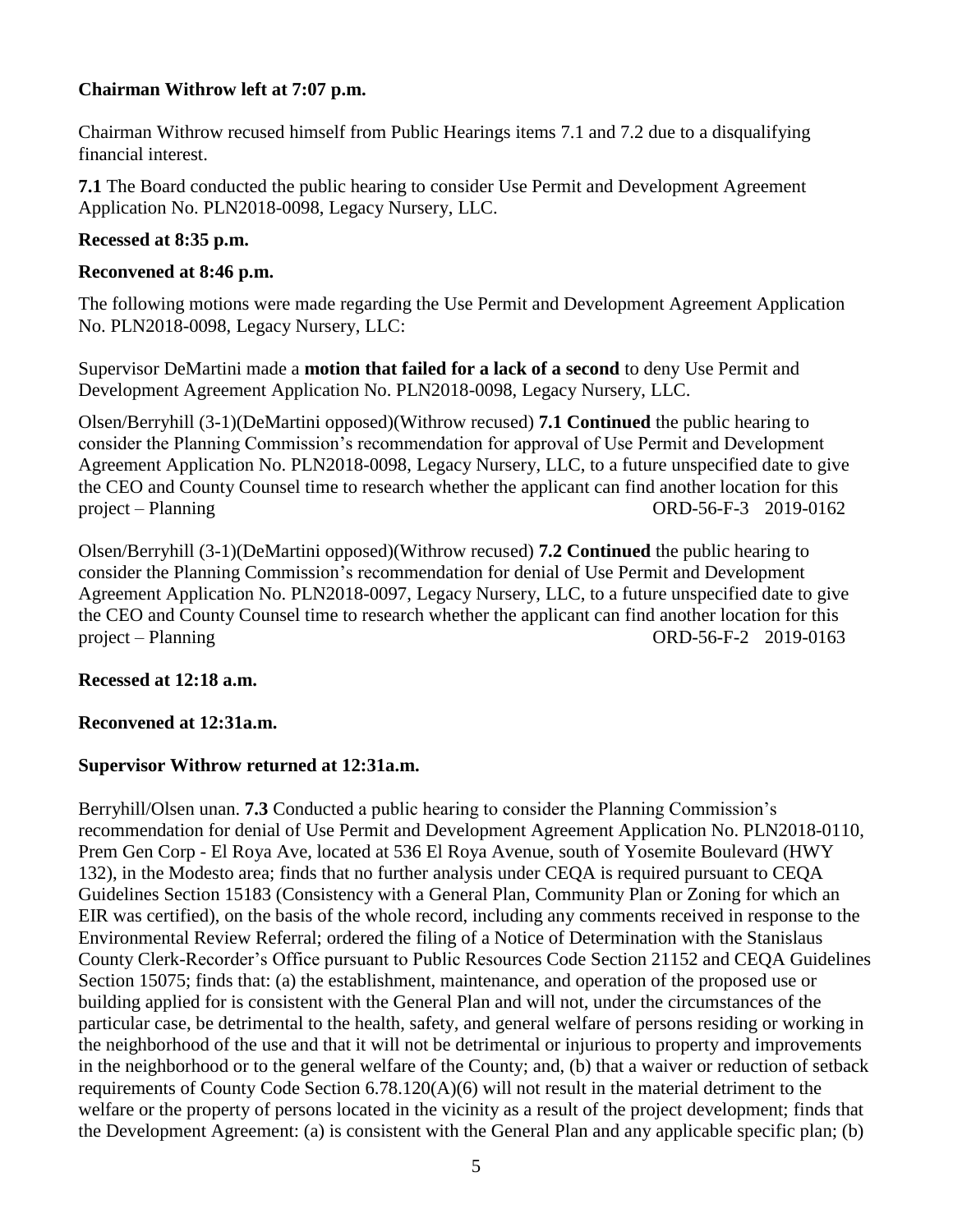## **Chairman Withrow left at 7:07 p.m.**

Chairman Withrow recused himself from Public Hearings items 7.1 and 7.2 due to a disqualifying financial interest.

**7.1** The Board conducted the public hearing to consider Use Permit and Development Agreement Application No. PLN2018-0098, Legacy Nursery, LLC.

### **Recessed at 8:35 p.m.**

### **Reconvened at 8:46 p.m.**

The following motions were made regarding the Use Permit and Development Agreement Application No. PLN2018-0098, Legacy Nursery, LLC:

Supervisor DeMartini made a **motion that failed for a lack of a second** to deny Use Permit and Development Agreement Application No. PLN2018-0098, Legacy Nursery, LLC.

Olsen/Berryhill (3-1)(DeMartini opposed)(Withrow recused) **7.1 Continued** the public hearing to consider the Planning Commission's recommendation for approval of Use Permit and Development Agreement Application No. PLN2018-0098, Legacy Nursery, LLC, to a future unspecified date to give the CEO and County Counsel time to research whether the applicant can find another location for this project – Planning ORD-56-F-3 2019-0162

Olsen/Berryhill (3-1)(DeMartini opposed)(Withrow recused) **7.2 Continued** the public hearing to consider the Planning Commission's recommendation for denial of Use Permit and Development Agreement Application No. PLN2018-0097, Legacy Nursery, LLC, to a future unspecified date to give the CEO and County Counsel time to research whether the applicant can find another location for this project – Planning ORD-56-F-2 2019-0163

#### **Recessed at 12:18 a.m.**

## **Reconvened at 12:31a.m.**

## **Supervisor Withrow returned at 12:31a.m.**

Berryhill/Olsen unan. **7.3** Conducted a public hearing to consider the Planning Commission's recommendation for denial of Use Permit and Development Agreement Application No. PLN2018-0110, Prem Gen Corp - El Roya Ave, located at 536 El Roya Avenue, south of Yosemite Boulevard (HWY 132), in the Modesto area; finds that no further analysis under CEQA is required pursuant to CEQA Guidelines Section 15183 (Consistency with a General Plan, Community Plan or Zoning for which an EIR was certified), on the basis of the whole record, including any comments received in response to the Environmental Review Referral; ordered the filing of a Notice of Determination with the Stanislaus County Clerk-Recorder's Office pursuant to Public Resources Code Section 21152 and CEQA Guidelines Section 15075; finds that: (a) the establishment, maintenance, and operation of the proposed use or building applied for is consistent with the General Plan and will not, under the circumstances of the particular case, be detrimental to the health, safety, and general welfare of persons residing or working in the neighborhood of the use and that it will not be detrimental or injurious to property and improvements in the neighborhood or to the general welfare of the County; and, (b) that a waiver or reduction of setback requirements of County Code Section 6.78.120(A)(6) will not result in the material detriment to the welfare or the property of persons located in the vicinity as a result of the project development; finds that the Development Agreement: (a) is consistent with the General Plan and any applicable specific plan; (b)